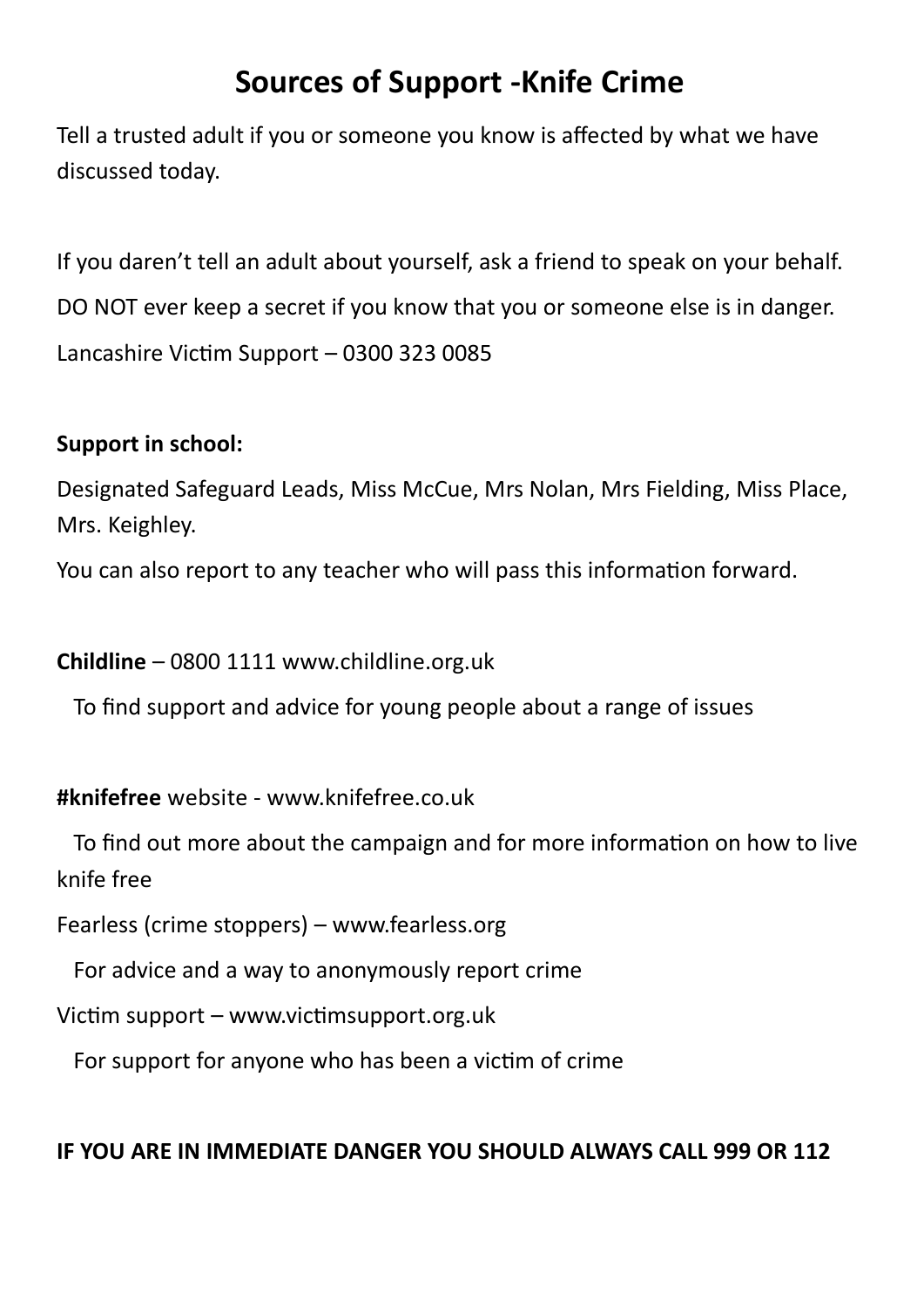# **Sources of Support -Knife Crime**

Tell a trusted adult if you or someone you know is affected by what we have discussed today.

If you daren't tell an adult about yourself, ask a friend to speak on your behalf. DO NOT ever keep a secret if you know that you or someone else is in danger. Lancashire Victim Support – 0300 323 0085

### **Support in school:**

Designated Safeguard Leads, Miss McCue, Mrs Nolan, Mrs Fielding, Miss Place, Mrs. Keighley.

You can also report to any teacher who will pass this information forward.

**Childline** – 0800 1111 www.childline.org.uk

To find support and advice for young people about a range of issues

#### **#knifefree** website - www.knifefree.co.uk

 To find out more about the campaign and for more information on how to live knife free

Fearless (crime stoppers) – www.fearless.org

For advice and a way to anonymously report crime

Victim support – www.victimsupport.org.uk

For support for anyone who has been a victim of crime

#### **IF YOU ARE IN IMMEDIATE DANGER YOU SHOULD ALWAYS CALL 999 OR 112**